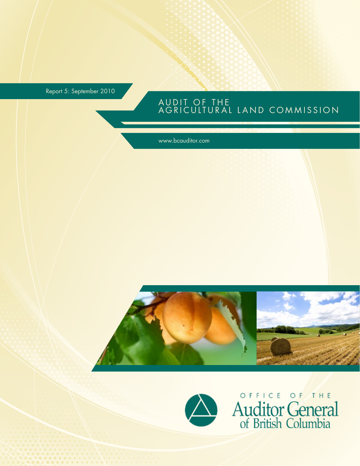Report 5: September 2010

### AUDIT OF THE AGRICULTURAL LAND COMMISSION

www.bcauditor.com





OFFICE OF THE<br>Auditor General<br>of British Columbia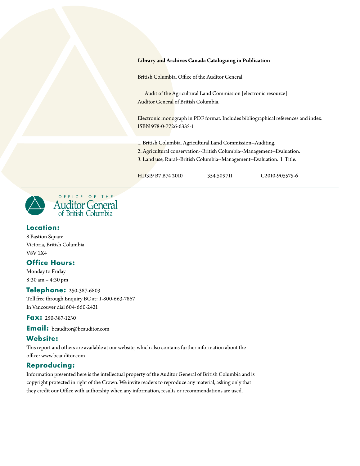#### **Library and Archives Canada Cataloguing in Publication**

British Columbia. Office of the Auditor General

Audit of the Agricultural Land Commission [electronic resource] Auditor General of British Columbia.

Electronic monograph in PDF format. Includes bibliographical references and index. ISBN 978-0-7726-6335-1

1. British Columbia. Agricultural Land Commission--Auditing.

2. Agricultural conservation--British Columbia--Management--Evaluation.

3. Land use, Rural--British Columbia--Management--Evaluation. I. Title.

HD319 B7 B74 2010 354.509711 C2010-905575-6



#### **Location :**

8 Bastion Square Victoria, British Columbia V8V 1X4

#### **Office Hours:**

Monday to Friday 8:30 am – 4:30 pm

#### **Telephone: 250-387-6803**

Toll free through Enquiry BC at: 1-800-663-7867 In Vancouver dial 604-660-2421

**Fax:** 250-387-1230

**Email :** bcauditor@bcauditor.com

#### Website:

This report and others are available at our website, which also contains further information about the office: www.bcauditor.com

#### **Reproducing :**

Information presented here is the intellectual property of the Auditor General of British Columbia and is copyright protected in right of the Crown. We invite readers to reproduce any material, asking only that they credit our Office with authorship when any information, results or recommendations are used.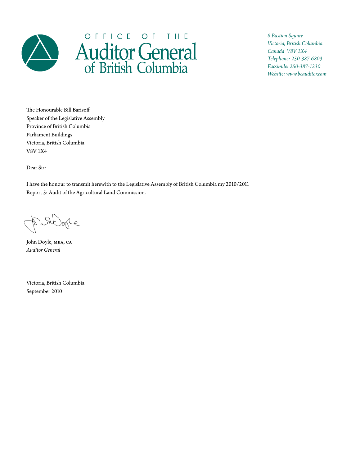

# OFFICE OF THE Auditor General

*8 Bastion Square Victoria, British Columbia Canada V8V 1X4 Telephone: 250-387-6803 Facsimile: 250-387-1230 Website: www.bcauditor.com*

The Honourable Bill Barisoff Speaker of the Legislative Assembly Province of British Columbia Parliament Buildings Victoria, British Columbia V8V 1X4

Dear Sir:

I have the honour to transmit herewith to the Legislative Assembly of British Columbia my 2010/2011 Report 5: Audit of the Agricultural Land Commission.

Puttofe

John Doyle, mba, ca *Auditor General*

Victoria, British Columbia September 2010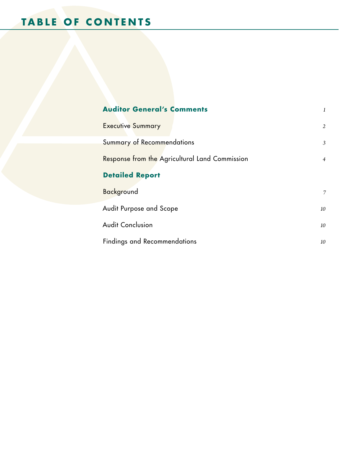| <b>Auditor General's Comments</b>                                |                |  |  |  |  |
|------------------------------------------------------------------|----------------|--|--|--|--|
| <b>Executive Summary</b>                                         | $\overline{2}$ |  |  |  |  |
| <b>Summary of Recommendations</b>                                |                |  |  |  |  |
| Response from the Agricultural Land Commission<br>$\overline{4}$ |                |  |  |  |  |
| <b>Detailed Report</b>                                           |                |  |  |  |  |
| Background                                                       | 7              |  |  |  |  |
| Audit Purpose and Scope                                          |                |  |  |  |  |
| <b>Audit Conclusion</b>                                          | 10             |  |  |  |  |
| <b>Findings and Recommendations</b>                              |                |  |  |  |  |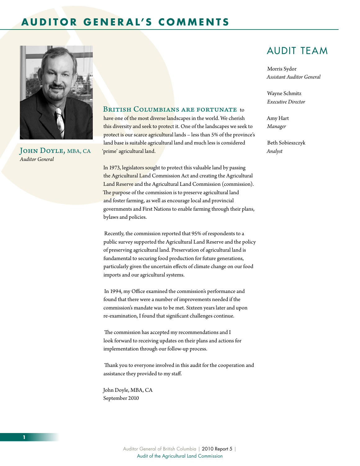### <span id="page-4-0"></span>**A u d i tor G e n er a l' s C o m m e n t s**



JOHN DOYLE, MBA, CA *Auditor General*

#### BRITISH COLUMBIANS ARE FORTUNATE to

have one of the most diverse landscapes in the world. We cherish this diversity and seek to protect it. One of the landscapes we seek to protect is our scarce agricultural lands – less than 5% of the province's land base is suitable agricultural land and much less is considered 'prime' agricultural land.

In 1973, legislators sought to protect this valuable land by passing the Agricultural Land Commission Act and creating the Agricultural Land Reserve and the Agricultural Land Commission (commission). The purpose of the commission is to preserve agricultural land and foster farming, as well as encourage local and provincial governments and First Nations to enable farming through their plans, bylaws and policies.

 Recently, the commission reported that 95% of respondents to a public survey supported the Agricultural Land Reserve and the policy of preserving agricultural land. Preservation of agricultural land is fundamental to securing food production for future generations, particularly given the uncertain effects of climate change on our food imports and our agricultural systems.

 In 1994, my Office examined the commission's performance and found that there were a number of improvements needed if the commission's mandate was to be met. Sixteen years later and upon re-examination, I found that significant challenges continue.

 The commission has accepted my recommendations and I look forward to receiving updates on their plans and actions for implementation through our follow-up process.

 Thank you to everyone involved in this audit for the cooperation and assistance they provided to my staff.

John Doyle, MBA, CA September 2010

### Audit Team

Morris Sydor *Assistant Auditor General*

Wayne Schmitz *Executive Director*

Amy Hart *Manager*

Beth Sobieszczyk *Analyst*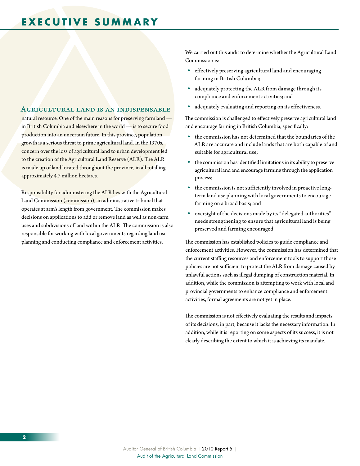### <span id="page-5-0"></span>**E X E C U T I V E SUMMA R Y**

#### Agricultural land is an indispensable

natural resource. One of the main reasons for preserving farmland in British Columbia and elsewhere in the world — is to secure food production into an uncertain future. In this province, population growth is a serious threat to prime agricultural land. In the 1970s, concern over the loss of agricultural land to urban development led to the creation of the Agricultural Land Reserve (ALR). The ALR is made up of land located throughout the province, in all totalling approximately 4.7 million hectares.

Responsibility for administering the ALR lies with the Agricultural Land Commission (commission), an administrative tribunal that operates at arm's length from government. The commission makes decisions on applications to add or remove land as well as non-farm uses and subdivisions of land within the ALR. The commission is also responsible for working with local governments regarding land use planning and conducting compliance and enforcement activities.

We carried out this audit to determine whether the Agricultural Land Commission is:

- effectively preserving agricultural land and encouraging farming in British Columbia;
- adequately protecting the ALR from damage through its compliance and enforcement activities; and
- adequately evaluating and reporting on its effectiveness.

The commission is challenged to effectively preserve agricultural land and encourage farming in British Columbia, specifically:

- the commission has not determined that the boundaries of the ALR are accurate and include lands that are both capable of and suitable for agricultural use;
- the commission has identified limitations in its ability to preserve agricultural land and encourage farming through the application process;
- the commission is not sufficiently involved in proactive longterm land use planning with local governments to encourage farming on a broad basis; and
- oversight of the decisions made by its "delegated authorities" needs strengthening to ensure that agricultural land is being preserved and farming encouraged.

The commission has established policies to guide compliance and enforcement activities. However, the commission has determined that the current staffing resources and enforcement tools to support those policies are not sufficient to protect the ALR from damage caused by unlawful actions such as illegal dumping of construction material. In addition, while the commission is attempting to work with local and provincial governments to enhance compliance and enforcement activities, formal agreements are not yet in place.

The commission is not effectively evaluating the results and impacts of its decisions, in part, because it lacks the necessary information. In addition, while it is reporting on some aspects of its success, it is not clearly describing the extent to which it is achieving its mandate.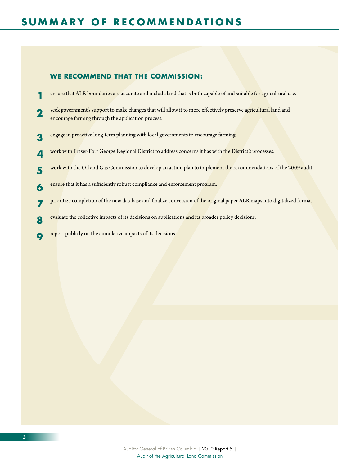#### **We recommend that the commission :**

- **1** ensure that ALR boundaries are accurate and include land that is both capable of and suitable for agricultural use.
- **2** seek government's support to make changes that will allow it to more effectively preserve agricultural land and encourage farming through the application process.
- **3** engage in proactive long-term planning with local governments to encourage farming.
- **4** work with Fraser-Fort George Regional District to address concerns it has with the District's processes.
- **5** work with the Oil and Gas Commission to develop an action plan to implement the recommendations of the 2009 audit.
- **6** ensure that it has a sufficiently robust compliance and enforcement program.
- **7** prioritize completion of the new database and finalize conversion of the original paper ALR maps into digitalized format.
- **8** evaluate the collective impacts of its decisions on applications and its broader policy decisions.
- **9** report publicly on the cumulative impacts of its decisions.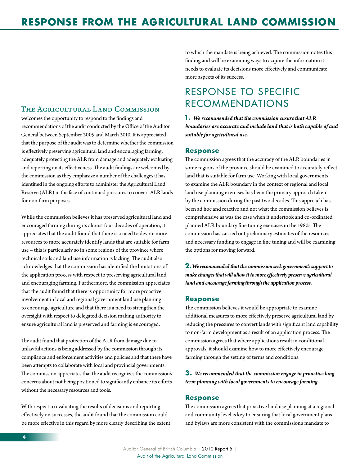#### <span id="page-7-0"></span>The Agricultural Land Commission

welcomes the opportunity to respond to the findings and recommendations of the audit conducted by the Office of the Auditor General between September 2009 and March 2010. It is appreciated that the purpose of the audit was to determine whether the commission is effectively preserving agricultural land and encouraging farming, adequately protecting the ALR from damage and adequately evaluating and reporting on its effectiveness. The audit findings are welcomed by the commission as they emphasize a number of the challenges it has identified in the ongoing efforts to administer the Agricultural Land Reserve (ALR) in the face of continued pressures to convert ALR lands for non-farm purposes.

While the commission believes it has preserved agricultural land and encouraged farming during its almost four decades of operation, it appreciates that the audit found that there is a need to devote more resources to more accurately identify lands that are suitable for farm use – this is particularly so in some regions of the province where technical soils and land use information is lacking. The audit also acknowledges that the commission has identified the limitations of the application process with respect to preserving agricultural land and encouraging farming. Furthermore, the commission appreciates that the audit found that there is opportunity for more proactive involvement in local and regional government land use planning to encourage agriculture and that there is a need to strengthen the oversight with respect to delegated decision making authority to ensure agricultural land is preserved and farming is encouraged.

The audit found that protection of the ALR from damage due to unlawful actions is being addressed by the commission through its compliance and enforcement activities and policies and that there have been attempts to collaborate with local and provincial governments. The commission appreciates that the audit recognizes the commission's concerns about not being positioned to significantly enhance its efforts without the necessary resources and tools.

With respect to evaluating the results of decisions and reporting effectively on successes, the audit found that the commission could be more effective in this regard by more clearly describing the extent to which the mandate is being achieved. The commission notes this finding and will be examining ways to acquire the information it needs to evaluate its decisions more effectively and communicate more aspects of its success.

# Response to Specific Recommendations

**1.** *We recommended that the commission ensure that ALR boundaries are accurate and include land that is both capable of and suitable for agricultural use.*

#### **Response**

The commission agrees that the accuracy of the ALR boundaries in some regions of the province should be examined to accurately reflect land that is suitable for farm use. Working with local governments to examine the ALR boundary in the context of regional and local land use planning exercises has been the primary approach taken by the commission during the past two decades. This approach has been ad hoc and reactive and not what the commission believes is comprehensive as was the case when it undertook and co-ordinated planned ALR boundary fine tuning exercises in the 1980s. The commission has carried out preliminary estimates of the resources and necessary funding to engage in fine tuning and will be examining the options for moving forward.

**2.** *We recommended that the commission seek government's support to make changes that will allow it to more effectively preserve agricultural land and encourage farming through the application process.*

#### **Response**

The commission believes it would be appropriate to examine additional measures to more effectively preserve agricultural land by reducing the pressures to convert lands with significant land capability to non-farm development as a result of an application process. The commission agrees that where applications result in conditional approvals, it should examine how to more effectively encourage farming through the setting of terms and conditions.

#### **3.** *We recommended that the commission engage in proactive longterm planning with local governments to encourage farming.*

#### **Response**

The commission agrees that proactive land use planning at a regional and community level is key to ensuring that local government plans and bylaws are more consistent with the commission's mandate to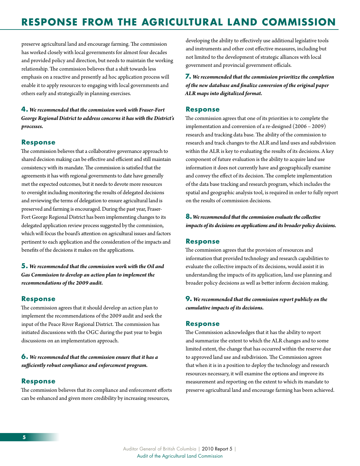# **RESPONSE FROM THE AGRICULTURAL LAND COMMISSION**

preserve agricultural land and encourage farming. The commission has worked closely with local governments for almost four decades and provided policy and direction, but needs to maintain the working relationship. The commission believes that a shift towards less emphasis on a reactive and presently ad hoc application process will enable it to apply resources to engaging with local governments and others early and strategically in planning exercises.

**4.** *We recommended that the commission work with Fraser-Fort George Regional District to address concerns it has with the District's processes.*

#### **Response**

The commission believes that a collaborative governance approach to shared decision making can be effective and efficient and still maintain consistency with its mandate. The commission is satisfied that the agreements it has with regional governments to date have generally met the expected outcomes, but it needs to devote more resources to oversight including monitoring the results of delegated decisions and reviewing the terms of delegation to ensure agricultural land is preserved and farming is encouraged. During the past year, Fraser-Fort George Regional District has been implementing changes to its delegated application review process suggested by the commission, which will focus the board's attention on agricultural issues and factors pertinent to each application and the consideration of the impacts and benefits of the decisions it makes on the applications.

**5.** *We recommended that the commission work with the Oil and Gas Commission to develop an action plan to implement the recommendations of the 2009 audit.*

#### **Response**

The commission agrees that it should develop an action plan to implement the recommendations of the 2009 audit and seek the input of the Peace River Regional District. The commission has initiated discussions with the OGC during the past year to begin discussions on an implementation approach.

**6.** *We recommended that the commission ensure that it has a sufficiently robust compliance and enforcement program.*

#### **Response**

The commission believes that its compliance and enforcement efforts can be enhanced and given more credibility by increasing resources,

developing the ability to effectively use additional legislative tools and instruments and other cost effective measures, including but not limited to the development of strategic alliances with local government and provincial government officials.

**7.** *We recommended that the commission prioritize the completion of the new database and finalize conversion of the original paper ALR maps into digitalized format.*

#### **Response**

The commission agrees that one of its priorities is to complete the implementation and conversion of a re-designed (2006 – 2009) research and tracking data base. The ability of the commission to research and track changes to the ALR and land uses and subdivision within the ALR is key to evaluating the results of its decisions. A key component of future evaluation is the ability to acquire land use information it does not currently have and geographically examine and convey the effect of its decision. The complete implementation of the data base tracking and research program, which includes the spatial and geographic analysis tool, is required in order to fully report on the results of commission decisions.

**8.** *We recommended that the commission evaluate the collective impacts of its decisions on applications and its broader policy decisions.*

#### **Response**

The commission agrees that the provision of resources and information that provided technology and research capabilities to evaluate the collective impacts of its decisions, would assist it in understanding the impacts of its application, land use planning and broader policy decisions as well as better inform decision making.

#### **9.** *We recommended that the commission report publicly on the cumulative impacts of its decisions.*

#### **Response**

The Commission acknowledges that it has the ability to report and summarize the extent to which the ALR changes and to some limited extent, the change that has occurred within the reserve due to approved land use and subdivision. The Commission agrees that when it is in a position to deploy the technology and research resources necessary, it will examine the options and improve its measurement and reporting on the extent to which its mandate to preserve agricultural land and encourage farming has been achieved.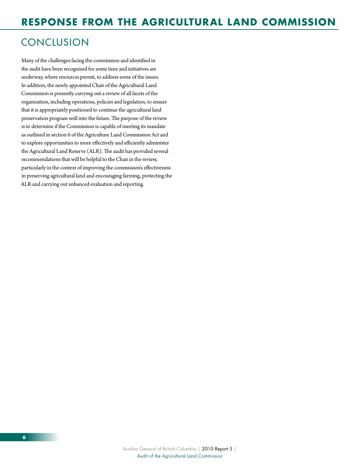# **CONCLUSION**

Many of the challenges facing the commission and identified in the audit have been recognized for some time and initiatives are underway, where resources permit, to address some of the issues. In addition, the newly appointed Chair of the Agricultural Land Commission is presently carrying out a review of all facets of the organization, including operations, policies and legislation, to ensure that it is appropriately positioned to continue the agricultural land preservation program well into the future. The purpose of the review is to determine if the Commission is capable of meeting its mandate as outlined in section 6 of the Agriculture Land Commission Act and to explore opportunities to more effectively and efficiently administer the Agricultural Land Reserve (ALR). The audit has provided several recommendations that will be helpful to the Chair in the review, particularly in the context of improving the commission's effectiveness in preserving agricultural land and encouraging farming, protecting the ALR and carrying out enhanced evaluation and reporting.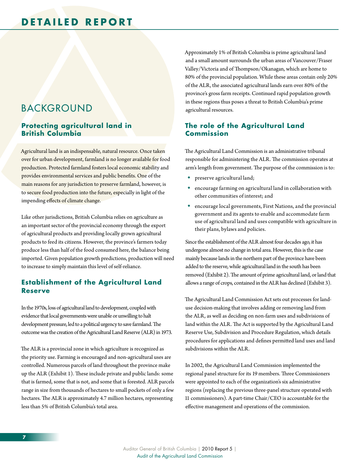# <span id="page-10-0"></span>BACKGROUND

#### **Protecting agricultural land in British Columbia**

Agricultural land is an indispensable, natural resource. Once taken over for urban development, farmland is no longer available for food production. Protected farmland fosters local economic stability and provides environmental services and public benefits. One of the main reasons for any jurisdiction to preserve farmland, however, is to secure food production into the future, especially in light of the impending effects of climate change.

Like other jurisdictions, British Columbia relies on agriculture as an important sector of the provincial economy through the export of agricultural products and providing locally grown agricultural products to feed its citizens. However, the province's farmers today produce less than half of the food consumed here, the balance being imported. Given population growth predictions, production will need to increase to simply maintain this level of self-reliance.

### **Establishment of the Agricultural Land Reserve**

In the 1970s, loss of agricultural land to development, coupled with evidence that local governments were unable or unwilling to halt development pressure, led to a political urgency to save farmland. The outcome was the creation of the Agricultural Land Reserve (ALR) in 1973.

The ALR is a provincial zone in which agriculture is recognized as the priority use. Farming is encouraged and non-agricultural uses are controlled. Numerous parcels of land throughout the province make up the ALR (Exhibit 1). These include private and public lands: some that is farmed, some that is not, and some that is forested. ALR parcels range in size from thousands of hectares to small pockets of only a few hectares. The ALR is approximately 4.7 million hectares, representing less than 5% of British Columbia's total area.

Approximately 1% of British Columbia is prime agricultural land and a small amount surrounds the urban areas of Vancouver/Fraser Valley/Victoria and of Thompson/Okanagan, which are home to 80% of the provincial population. While these areas contain only 20% of the ALR, the associated agricultural lands earn over 80% of the province's gross farm receipts. Continued rapid population growth in these regions thus poses a threat to British Columbia's prime agricultural resources.

### **The role of the Agricultural Land Commission**

The Agricultural Land Commission is an administrative tribunal responsible for administering the ALR. The commission operates at arm's length from government. The purpose of the commission is to:

- preserve agricultural land;
- encourage farming on agricultural land in collaboration with other communities of interest; and
- encourage local governments, First Nations, and the provincial government and its agents to enable and accommodate farm use of agricultural land and uses compatible with agriculture in their plans, bylaws and policies.

Since the establishment of the ALR almost four decades ago, it has undergone almost no change in total area. However, this is the case mainly because lands in the northern part of the province have been added to the reserve, while agricultural land in the south has been removed (Exhibit 2). The amount of prime agricultural land, or land that allows a range of crops, contained in the ALR has declined (Exhibit 3).

The Agricultural Land Commission Act sets out processes for landuse decision-making that involves adding or removing land from the ALR, as well as deciding on non-farm uses and subdivisions of land within the ALR. The Act is supported by the Agricultural Land Reserve Use, Subdivision and Procedure Regulation, which details procedures for applications and defines permitted land uses and land subdivisions within the ALR.

In 2002, the Agricultural Land Commission implemented the regional panel structure for its 19 members. Three Commissioners were appointed to each of the organization's six administrative regions (replacing the previous three-panel structure operated with 11 commissioners). A part-time Chair/CEO is accountable for the effective management and operations of the commission.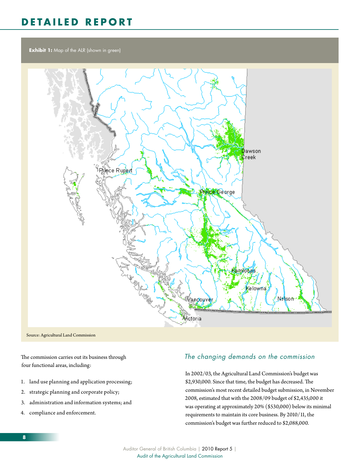**Exhibit 1:** Map of the ALR (shown in green)



The commission carries out its business through four functional areas, including:

- 1. land use planning and application processing;
- 2. strategic planning and corporate policy;
- 3. administration and information systems; and
- 4. compliance and enforcement.

### *The changing demands on the commission*

In 2002/03, the Agricultural Land Commission's budget was \$2,930,000. Since that time, the budget has decreased. The commission's most recent detailed budget submission, in November 2008, estimated that with the 2008/09 budget of \$2,435,000 it was operating at approximately 20% (\$530,000) below its minimal requirements to maintain its core business. By 2010/11, the commission's budget was further reduced to \$2,088,000.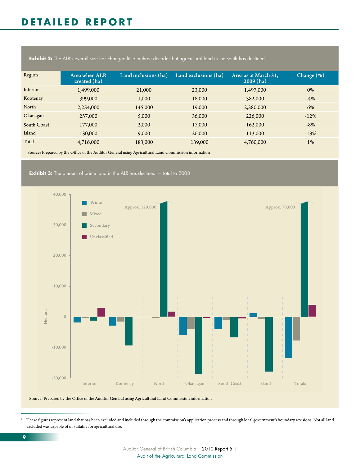**Exhibit 2:** The ALR's overall size has changed little in three decades but agricultural land in the south has declined <sup>1</sup>

| Region      | Area when ALR<br>created (ha) | Land inclusions (ha) | Land exclusions (ha) | Area as at March 31,<br>2009(ha) | Change $(\%)$ |
|-------------|-------------------------------|----------------------|----------------------|----------------------------------|---------------|
| Interior    | 1,499,000                     | 21,000               | 23,000               | 1,497,000                        | 0%            |
| Kootenay    | 399,000                       | 1,000                | 18,000               | 382,000                          | $-4%$         |
| North       | 2,254,000                     | 145,000              | 19,000               | 2,380,000                        | 6%            |
| Okanagan    | 257,000                       | 5,000                | 36,000               | 226,000                          | $-12%$        |
| South Coast | 177,000                       | 2,000                | 17,000               | 162,000                          | $-8%$         |
| Island      | 130,000                       | 9,000                | 26,000               | 113,000                          | $-13%$        |
| Total       | 4,716,000                     | 183,000              | 139,000              | 4,760,000                        | $1\%$         |

Source: Prepared by the Office of the Auditor General using Agricultural Land Commission information

**Exhibit 3:** The amount of prime land in the ALR has declined  $-$  total to 2008



Source: Prepared by the Office of the Auditor General using Agricultural Land Commission information

1 These figures represent land that has been excluded and included through the commission's application process and through local government's boundary revisions. Not all land excluded was capable of or suitable for agricultural use.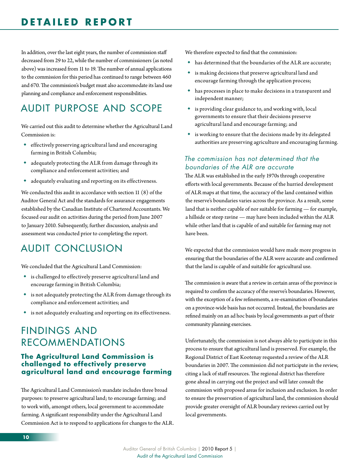<span id="page-13-0"></span>In addition, over the last eight years, the number of commission staff decreased from 29 to 22, while the number of commissioners (as noted above) was increased from 11 to 19. The number of annual applications to the commission for this period has continued to range between 460 and 670. The commission's budget must also accommodate its land use planning and compliance and enforcement responsibilities.

# Audit purpose and scope

We carried out this audit to determine whether the Agricultural Land Commission is:

- effectively preserving agricultural land and encouraging farming in British Columbia;
- adequately protecting the ALR from damage through its compliance and enforcement activities; and
- adequately evaluating and reporting on its effectiveness.

We conducted this audit in accordance with section 11 (8) of the Auditor General Act and the standards for assurance engagements established by the Canadian Institute of Chartered Accountants. We focused our audit on activities during the period from June 2007 to January 2010. Subsequently, further discussion, analysis and assessment was conducted prior to completing the report.

# Audit conclusion

We concluded that the Agricultural Land Commission:

- is challenged to effectively preserve agricultural land and encourage farming in British Columbia;
- is not adequately protecting the ALR from damage through its compliance and enforcement activities; and
- is not adequately evaluating and reporting on its effectiveness.

# Findings and Recommendations

#### **The Agricultural Land Commission is challenged to effectively preserve agricultural land and encourage farming**

The Agricultural Land Commission's mandate includes three broad purposes: to preserve agricultural land; to encourage farming; and to work with, amongst others, local government to accommodate farming. A significant responsibility under the Agricultural Land Commission Act is to respond to applications for changes to the ALR. We therefore expected to find that the commission:

- has determined that the boundaries of the ALR are accurate;
- is making decisions that preserve agricultural land and encourage farming through the application process;
- has processes in place to make decisions in a transparent and independent manner;
- is providing clear guidance to, and working with, local governments to ensure that their decisions preserve agricultural land and encourage farming; and
- is working to ensure that the decisions made by its delegated authorities are preserving agriculture and encouraging farming.

### *The commission has not determined that the boundaries of the ALR are accurate*

The ALR was established in the early 1970s through cooperative efforts with local governments. Because of the hurried development of ALR maps at that time, the accuracy of the land contained within the reserve's boundaries varies across the province. As a result, some land that is neither capable of nor suitable for farming — for example, a hillside or steep ravine — may have been included within the ALR while other land that is capable of and suitable for farming may not have been.

We expected that the commission would have made more progress in ensuring that the boundaries of the ALR were accurate and confirmed that the land is capable of and suitable for agricultural use.

The commission is aware that a review in certain areas of the province is required to confirm the accuracy of the reserve's boundaries. However, with the exception of a few refinements, a re-examination of boundaries on a province-wide basis has not occurred. Instead, the boundaries are refined mainly on an ad hoc basis by local governments as part of their community planning exercises.

Unfortunately, the commission is not always able to participate in this process to ensure that agricultural land is preserved. For example, the Regional District of East Kootenay requested a review of the ALR boundaries in 2007. The commission did not participate in the review, citing a lack of staff resources. The regional district has therefore gone ahead in carrying out the project and will later consult the commission with proposed areas for inclusion and exclusion. In order to ensure the preservation of agricultural land, the commission should provide greater oversight of ALR boundary reviews carried out by local governments.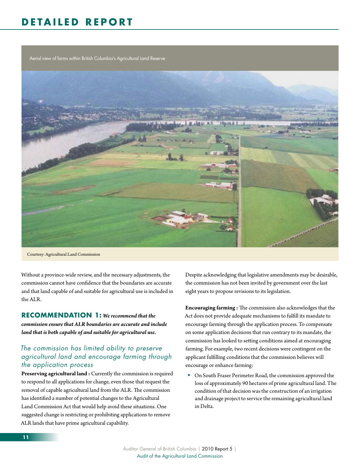Aerial view of farms within British Columbia's Agricultural Land Reserve



Courtesy: Agricultural Land Commission

Without a province-wide review, and the necessary adjustments, the commission cannot have confidence that the boundaries are accurate and that land capable of and suitable for agricultural use is included in the ALR.

#### **RECOMMENDATION 1:** We recommend that the

*commission ensure that ALR boundaries are accurate and include land that is both capable of and suitable for agricultural use.*

#### *The commission has limited ability to preserve agricultural land and encourage farming through the application process*

**Preserving agricultural land :** Currently the commission is required to respond to all applications for change, even those that request the removal of capable agricultural land from the ALR. The commission has identified a number of potential changes to the Agricultural Land Commission Act that would help avoid these situations. One suggested change is restricting or prohibiting applications to remove ALR lands that have prime agricultural capability.

Despite acknowledging that legislative amendments may be desirable, the commission has not been invited by government over the last eight years to propose revisions to its legislation.

**Encouraging farming :** The commission also acknowledges that the Act does not provide adequate mechanisms to fulfill its mandate to encourage farming through the application process. To compensate on some application decisions that run contrary to its mandate, the commission has looked to setting conditions aimed at encouraging farming. For example, two recent decisions were contingent on the applicant fulfilling conditions that the commission believes will encourage or enhance farming:

 On South Fraser Perimeter Road, the commission approved the loss of approximately 90 hectares of prime agricultural land. The condition of that decision was the construction of an irrigation and drainage project to service the remaining agricultural land in Delta.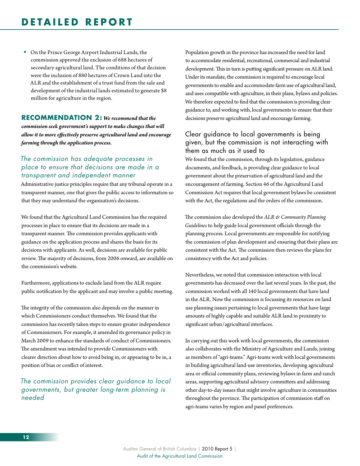On the Prince George Airport Industrial Lands, the commission approved the exclusion of 688 hectares of secondary agricultural land. The conditions of that decision were the inclusion of 880 hectares of Crown Land into the ALR and the establishment of a trust fund from the sale and development of the industrial lands estimated to generate \$8 million for agriculture in the region.

#### **RECOMMENDATION 2:** We recommend that the *commission seek government's support to make changes that will allow it to more effectively preserve agricultural land and encourage farming through the application process.*

#### *The commission has adequate processes in place to ensure that decisions are made in a transparent and independent manner*

Administrative justice principles require that any tribunal operate in a transparent manner, one that gives the public access to information so that they may understand the organization's decisions.

We found that the Agricultural Land Commission has the required processes in place to ensure that its decisions are made in a transparent manner. The commission provides applicants with guidance on the application process and shares the basis for its decisions with applicants. As well, decisions are available for public review. The majority of decisions, from 2006 onward, are available on the commission's website.

Furthermore, applications to exclude land from the ALR require public notification by the applicant and may involve a public meeting.

The integrity of the commission also depends on the manner in which Commissioners conduct themselves. We found that the commission has recently taken steps to ensure greater independence of Commissioners. For example, it amended its governance policy in March 2009 to enhance the standards of conduct of Commissioners. The amendment was intended to provide Commissioners with clearer direction about how to avoid being in, or appearing to be in, a position of bias or conflict of interest.

*The commission provides clear guidance to local governments, but greater long-term planning is needed* 

Population growth in the province has increased the need for land to accommodate residential, recreational, commercial and industrial development. This in turn is putting significant pressure on ALR land. Under its mandate, the commission is required to encourage local governments to enable and accommodate farm use of agricultural land, and uses compatible with agriculture, in their plans, bylaws and policies. We therefore expected to find that the commission is providing clear guidance to, and working with, local governments to ensure that their decisions preserve agricultural land and encourage farming.

### Clear guidance to local governments is being given, but the commission is not interacting with them as much as it used to

We found that the commission, through its legislation, guidance documents, and feedback, is providing clear guidance to local government about the preservation of agricultural land and the encouragement of farming. Section 46 of the Agricultural Land Commission Act requires that local government bylaws be consistent with the Act, the regulations and the orders of the commission.

The commission also developed the *ALR & Community Planning Guidelines* to help guide local government officials through the planning process. Local governments are responsible for notifying the commission of plan development and ensuring that their plans are consistent with the Act. The commission then reviews the plans for consistency with the Act and policies.

Nevertheless, we noted that commission interaction with local governments has decreased over the last several years. In the past, the commission worked with all 140 local governments that have land in the ALR. Now the commission is focussing its resources on land use planning issues pertaining to local governments that have large amounts of highly capable and suitable ALR land in proximity to significant urban/agricultural interfaces.

In carrying out this work with local governments, the commission also collaborates with the Ministry of Agriculture and Lands, joining as members of "agri-teams." Agri-teams work with local governments in building agricultural land-use inventories, developing agricultural area or official community plans, reviewing bylaws in farm and ranch areas, supporting agricultural advisory committees and addressing other day-to-day issues that might involve agriculture in communities throughout the province. The participation of commission staff on agri-teams varies by region and panel preferences.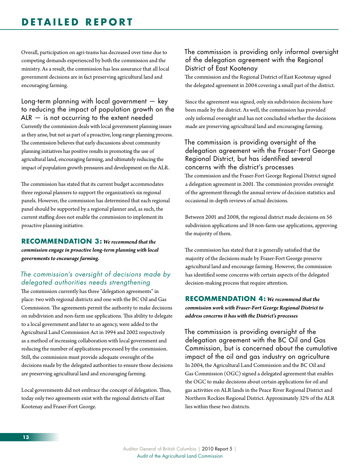### **DETAI L ED R E P O R T**

Overall, participation on agri-teams has decreased over time due to competing demands experienced by both the commission and the ministry. As a result, the commission has less assurance that all local government decisions are in fact preserving agricultural land and encouraging farming.

Long-term planning with local government — key to reducing the impact of population growth on the  $ALR -$  is not occurring to the extent needed Currently the commission deals with local government planning issues as they arise, but not as part of a proactive, long-range planning process. The commission believes that early discussions about community planning initiatives has positive results in promoting the use of agricultural land, encouraging farming, and ultimately reducing the impact of population growth pressures and development on the ALR.

The commission has stated that its current budget accommodates three regional planners to support the organization's six regional panels. However, the commission has determined that each regional panel should be supported by a regional planner and, as such, the current staffing does not enable the commission to implement its proactive planning initiative.

#### **RECOMMENDATION 3:** We recommend that the *commission engage in proactive long-term planning with local governments to encourage farming.*

### *The commission's oversight of decisions made by delegated authorities needs strengthening*

The commission currently has three "delegation agreements" in place: two with regional districts and one with the BC Oil and Gas Commission. The agreements permit the authority to make decisions on subdivision and non-farm use applications. This ability to delegate to a local government and later to an agency, were added to the Agricultural Land Commission Act in 1994 and 2002 respectively as a method of increasing collaboration with local government and reducing the number of applications processed by the commission. Still, the commission must provide adequate oversight of the decisions made by the delegated authorities to ensure those decisions are preserving agricultural land and encouraging farming.

Local governments did not embrace the concept of delegation. Thus, today only two agreements exist with the regional districts of East Kootenay and Fraser-Fort George.

#### The commission is providing only informal oversight of the delegation agreement with the Regional District of East Kootenay

The commission and the Regional District of East Kootenay signed the delegated agreement in 2004 covering a small part of the district.

Since the agreement was signed, only six subdivision decisions have been made by the district. As well, the commission has provided only informal oversight and has not concluded whether the decisions made are preserving agricultural land and encouraging farming.

### The commission is providing oversight of the delegation agreement with the Fraser-Fort George Regional District, but has identified several concerns with the district's processes

The commission and the Fraser-Fort George Regional District signed a delegation agreement in 2001. The commission provides oversight of the agreement through the annual review of decision statistics and occasional in-depth reviews of actual decisions.

Between 2001 and 2008, the regional district made decisions on 56 subdivision applications and 18 non-farm-use applications, approving the majority of them.

The commission has stated that it is generally satisfied that the majority of the decisions made by Fraser-Fort George preserve agricultural land and encourage farming. However, the commission has identified some concerns with certain aspects of the delegated decision-making process that require attention.

#### **RECOMMENDATION 4:** We recommend that the *commission work with Fraser-Fort George Regional District to address concerns it has with the District's processes*

The commission is providing oversight of the delegation agreement with the BC Oil and Gas Commission, but is concerned about the cumulative impact of the oil and gas industry on agriculture In 2004, the Agricultural Land Commission and the BC Oil and Gas Commission (OGC) signed a delegated agreement that enables the OGC to make decisions about certain applications for oil and gas activities on ALR lands in the Peace River Regional District and Northern Rockies Regional District. Approximately 32% of the ALR lies within these two districts.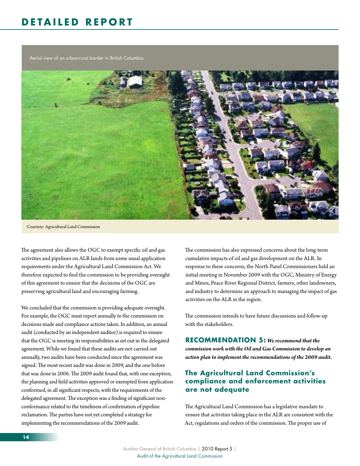Aerial view of an urban-rural border in British Columbia



Courtesy: Agricultural Land Commission

The agreement also allows the OGC to exempt specific oil and gas activities and pipelines on ALR lands from some usual application requirements under the Agricultural Land Commission Act. We therefore expected to find the commission to be providing oversight of this agreement to ensure that the decisions of the OGC are preserving agricultural land and encouraging farming.

We concluded that the commission is providing adequate oversight. For example, the OGC must report annually to the commission on decisions made and compliance actions taken. In addition, an annual audit (conducted by an independent auditor) is required to ensure that the OGC is meeting its responsibilities as set out in the delegated agreement. While we found that these audits are not carried out annually, two audits have been conducted since the agreement was signed. The most recent audit was done in 2009, and the one before that was done in 2006. The 2009 audit found that, with one exception, the planning and field activities approved or exempted from application conformed, in all significant respects, with the requirements of the delegated agreement. The exception was a finding of significant nonconformance related to the timeliness of confirmation of pipeline reclamation. The parties have not yet completed a strategy for implementing the recommendations of the 2009 audit.

The commission has also expressed concerns about the long-term cumulative impacts of oil and gas development on the ALR. In response to these concerns, the North Panel Commissioners held an initial meeting in November 2009 with the OGC, Ministry of Energy and Mines, Peace River Regional District, farmers, other landowners, and industry to determine an approach to managing the impact of gas activities on the ALR in the region.

The commission intends to have future discussions and follow-up with the stakeholders.

**RECOMMENDATION 5:** We recommend that the *commission work with the Oil and Gas Commission to develop an action plan to implement the recommendations of the 2009 audit.*

### **The Agricultural Land Commission's compliance and enforcement activities are not adequate**

The Agricultural Land Commission has a legislative mandate to ensure that activities taking place in the ALR are consistent with the Act, regulations and orders of the commission. The proper use of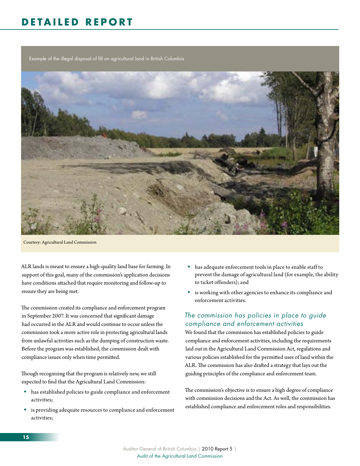# **D E TAI L E D R E P O R T**

Example of the illegal disposal of fill on agricultural land in British Columbia



Courtesy: Agricultural Land Commission

ALR lands is meant to ensure a high-quality land base for farming. In support of this goal, many of the commission's application decisions have conditions attached that require monitoring and follow-up to ensure they are being met.

The commission created its compliance and enforcement program in September 2007. It was concerned that significant damage had occurred in the ALR and would continue to occur unless the commission took a more active role in protecting agricultural lands from unlawful activities such as the dumping of construction waste. Before the program was established, the commission dealt with compliance issues only when time permitted.

Though recognizing that the program is relatively new, we still expected to find that the Agricultural Land Commission:

- has established policies to guide compliance and enforcement activities;
- is providing adequate resources to compliance and enforcement activities;
- has adequate enforcement tools in place to enable staff to prevent the damage of agricultural land (for example, the ability to ticket offenders); and
- is working with other agencies to enhance its compliance and enforcement activities.

### *The commission has policies in place to guide compliance and enforcement activities*

We found that the commission has established policies to guide compliance and enforcement activities, including the requirements laid out in the Agricultural Land Commission Act, regulations and various policies established for the permitted uses of land within the ALR. The commission has also drafted a strategy that lays out the guiding principles of the compliance and enforcement team.

The commission's objective is to ensure a high degree of compliance with commission decisions and the Act. As well, the commission has established compliance and enforcement roles and responsibilities.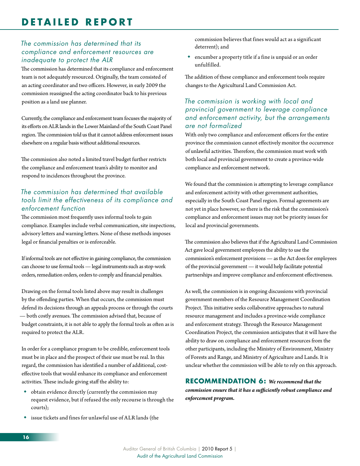### *The commission has determined that its compliance and enforcement resources are inadequate to protect the ALR*

The commission has determined that its compliance and enforcement team is not adequately resourced. Originally, the team consisted of an acting coordinator and two officers. However, in early 2009 the commission reassigned the acting coordinator back to his previous position as a land use planner.

Currently, the compliance and enforcement team focuses the majority of its efforts on ALR lands in the Lower Mainland of the South Coast Panel region. The commission told us that it cannot address enforcement issues elsewhere on a regular basis without additional resources.

The commission also noted a limited travel budget further restricts the compliance and enforcement team's ability to monitor and respond to incidences throughout the province.

### *The commission has determined that available tools limit the effectiveness of its compliance and enforcement function*

The commission most frequently uses informal tools to gain compliance. Examples include verbal communication, site inspections, advisory letters and warning letters. None of these methods imposes legal or financial penalties or is enforceable.

If informal tools are not effective in gaining compliance, the commission can choose to use formal tools — legal instruments such as stop-work orders, remediation orders, orders to comply and financial penalties.

Drawing on the formal tools listed above may result in challenges by the offending parties. When that occurs, the commission must defend its decisions through an appeals process or through the courts — both costly avenues. The commission advised that, because of budget constraints, it is not able to apply the formal tools as often as is required to protect the ALR.

In order for a compliance program to be credible, enforcement tools must be in place and the prospect of their use must be real. In this regard, the commission has identified a number of additional, costeffective tools that would enhance its compliance and enforcement activities. These include giving staff the ability to:

- obtain evidence directly (currently the commission may request evidence, but if refused the only recourse is through the courts);
- issue tickets and fines for unlawful use of ALR lands (the

commission believes that fines would act as a significant deterrent); and

 encumber a property title if a fine is unpaid or an order unfulfilled.

The addition of these compliance and enforcement tools require changes to the Agricultural Land Commission Act.

#### *The commission is working with local and provincial government to leverage compliance and enforcement activity, but the arrangements are not formalized*

With only two compliance and enforcement officers for the entire province the commission cannot effectively monitor the occurrence of unlawful activities. Therefore, the commission must work with both local and provincial government to create a province-wide compliance and enforcement network.

We found that the commission is attempting to leverage compliance and enforcement activity with other government authorities, especially in the South Coast Panel region. Formal agreements are not yet in place however, so there is the risk that the commission's compliance and enforcement issues may not be priority issues for local and provincial governments.

The commission also believes that if the Agricultural Land Commission Act gave local government employees the ability to use the commission's enforcement provisions — as the Act does for employees of the provincial government — it would help facilitate potential partnerships and improve compliance and enforcement effectiveness.

As well, the commission is in ongoing discussions with provincial government members of the Resource Management Coordination Project. This initiative seeks collaborative approaches to natural resource management and includes a province-wide compliance and enforcement strategy. Through the Resource Management Coordination Project, the commission anticipates that it will have the ability to draw on compliance and enforcement resources from the other participants, including the Ministry of Environment, Ministry of Forests and Range, and Ministry of Agriculture and Lands. It is unclear whether the commission will be able to rely on this approach.

### **RECOMMENDATION 6:** *We recommend that the commission ensure that it has a sufficiently robust compliance and enforcement program.*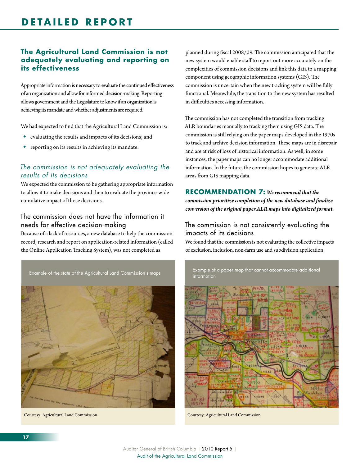### **The Agricultural Land Commission is not adequately evaluating and reporting on its effectiveness**

Appropriate information is necessary to evaluate the continued effectiveness of an organization and allow for informed decision-making. Reporting allows government and the Legislature to know if an organization is achieving its mandate and whether adjustments are required.

We had expected to find that the Agricultural Land Commission is:

- evaluating the results and impacts of its decisions; and
- reporting on its results in achieving its mandate.

### *The commission is not adequately evaluating the results of its decisions*

We expected the commission to be gathering appropriate information to allow it to make decisions and then to evaluate the province-wide cumulative impact of those decisions.

### The commission does not have the information it needs for effective decision-making

Because of a lack of resources, a new database to help the commission record, research and report on application-related information (called the Online Application Tracking System), was not completed as

Example of the state of the Agricultural Land Commission's maps



Courtesy: Agricultural Land Commission

planned during fiscal 2008/09. The commission anticipated that the new system would enable staff to report out more accurately on the complexities of commission decisions and link this data to a mapping component using geographic information systems (GIS). The commission is uncertain when the new tracking system will be fully functional. Meanwhile, the transition to the new system has resulted in difficulties accessing information.

The commission has not completed the transition from tracking ALR boundaries manually to tracking them using GIS data. The commission is still relying on the paper maps developed in the 1970s to track and archive decision information. These maps are in disrepair and are at risk of loss of historical information. As well, in some instances, the paper maps can no longer accommodate additional information. In the future, the commission hopes to generate ALR areas from GIS mapping data.

#### **RECOMMENDATION 7:** We recommend that the *commission prioritize completion of the new database and finalize conversion of the original paper ALR maps into digitalized format.*

### The commission is not consistently evaluating the impacts of its decisions

We found that the commission is not evaluating the collective impacts of exclusion, inclusion, non-farm use and subdivision application

Example of a paper map that cannot accommodate additional

information

Courtesy: Agricultural Land Commission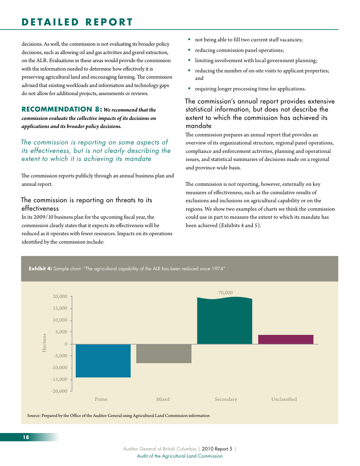# **D E TAI L E D R E P O R T**

decisions. As well, the commission is not evaluating its broader policy decisions, such as allowing oil and gas activities and gravel extraction, on the ALR. Evaluations in these areas would provide the commission with the information needed to determine how effectively it is preserving agricultural land and encouraging farming. The commission advised that existing workloads and information and technology gaps do not allow for additional projects, assessments or reviews.

#### **RECOMMENDATION 8:** We recommend that the *commission evaluate the collective impacts of its decisions on applications and its broader policy decisions.*

### *The commission is reporting on some aspects of its effectiveness, but is not clearly describing the extent to which it is achieving its mandate*

The commission reports publicly through an annual business plan and annual report.

#### The commission is reporting on threats to its effectiveness

In its 2009/10 business plan for the upcoming fiscal year, the commission clearly states that it expects its effectiveness will be reduced as it operates with fewer resources. Impacts on its operations identified by the commission include:

- not being able to fill two current staff vacancies;
- reducing commission panel operations;
- limiting involvement with local government planning;
- reducing the number of on-site visits to applicant properties; and
- requiring longer processing time for applications.

#### The commission's annual report provides extensive statistical information, but does not describe the extent to which the commission has achieved its mandate

The commission prepares an annual report that provides an overview of its organizational structure, regional panel operations, compliance and enforcement activities, planning and operational issues, and statistical summaries of decisions made on a regional and province-wide basis.

The commission is not reporting, however, externally on key measures of effectiveness, such as the cumulative results of exclusions and inclusions on agricultural capability or on the regions. We show two examples of charts we think the commission could use in part to measure the extent to which its mandate has been achieved (Exhibits 4 and 5).